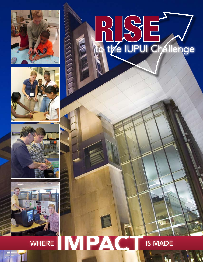

**ANYWAY** 







# RESEN

#### PA N **WHERE IS MADE**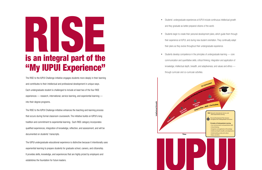The RISE to the IUPUI Challenge initiative engages students more deeply in their learning and contributes to their intellectual and professional development in unique ways. Each undergraduate student is challenged to include at least two of the four RISE experiences — research, international, service learning, and experiential learning into their degree programs.

## is an integral part of the "My IUPUI Experience" **RANGE OF STRAIGHTS AND READY REPAIR**

The RISE to the IUPUI Challenge initiative enhances the teaching and learning process that occurs during formal classroom coursework. The initiative builds on IUPUI's long tradition and commitment to experiential learning. Each RISE category incorporates qualified experiences, integration of knowledge, reflection, and assessment, and will be documented on students' transcripts.

The IUPUI undergraduate educational experience is distinctive because it intentionally uses experiential learning to prepare students for graduate school, careers, and citizenship. It provides skills, knowledge, and experiences that are highly prized by employers and establishes the foundation for future leaders.

Students begin to create their personal development plans, which guide them through their experience at IUPUI, and during new student orientation. They continually adapt their plans as they evolve throughout their undergraduate experience.

Students develop competence in the principles of undergraduate learning — core communication and quantitative skills; critical thinking; integration and application of knowledge; intellectual depth, breadth, and adaptiveness; and values and ethics —





• Students' undergraduate experiences at IUPUI include continuous intellectual growth

- and they graduate as better-prepared citizens of the world.
- 
- through curricular and co-curricular activities.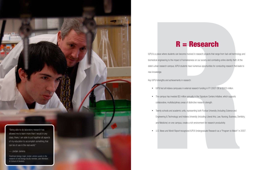

REERCONT Characteristics compared in the material of the material of the state of the state of the state of the state of the state of the state of the state of the state of the state of the state of the state of the state IUPUI is a place where students can become involved in research projects that range from fuel-cell technology and biomedical engineering to the impact of homelessness on our society and combating online identity theft. At the state's urban research campus, IUPUI students have numerous opportunities for conducting research that leads to new knowledge.

#### R = Research

• Twenty schools and academic units, representing both Purdue University (including Science and Engineering & Technology) and Indiana University (including Liberal Arts, Law, Nursing, Business, Dentistry,

- IUPUI led all Indiana campuses in external research funding in FY 2007-08 at \$303 million.
- The campus has invested \$3 million annually in the Signature Centers Initiative, which supports collaborative, multidisciplinary areas of distinctive research strength.
- and Medicine) on one campus, create a rich environment for research productivity.
- 

Key IUPUI strengths and achievements in research:

• *U.S. News and World Report* recognized IUPUI Undergraduate Research as a "Program to Watch" in 2007.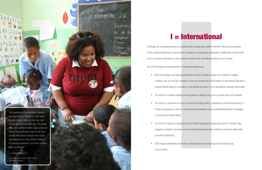"My experience in the Dominican Republic was phenomenal. I learned so much about my own country, that I can now face other cultures and still know who I am. The streets that I once walked on when I was a child now have a more sentimental value to me. I am prouder than before, because now I know what happened on those streets. Thanks to this learning experience, I am more confident about my heritage."

— Francina Tejeda

**Example 18 and 18 and 18 and 18 and 18 and 18 and 18 and 18 and 18 and 18 and 18 and 18 and 18 and 18 and 18 and 18 and 18 and 18 and 18 and 18 and 18 and 18 and 18 and 18 and 18 and 18 and 18 and 18 and 18 and 18 and 18** Employers are increasingly looking for graduates with competencies related to different cultures and languages. IUPUI is rapidly expanding the opportunities for students to study abroad, participate in collaborative programs with one of our partner institutions in other countries, and learn from international students on our campus. Key IUPUI strengths and achievements in international experiences:

cabarete 26

Duranl

Ir al b

Comprar

*Francina teaches school children in the Dominican Republic.*

Comer.

tomar agi

<sup>Compartir</sup>

## I = International

• IUPUI has strategic international partnerships with Moi University in Kenya, the University of Hidalgo in Mexico, and Sun-Yat Sen University in China and received the 2009 Institute of International Education's Andrew Heiskell Award for Innovation in International Education for our International Exchange Partnerships. • The number of students engaged in study abroad is steadily rising, and is currently about 400 students. • The School of Liberal Arts is home to a Confucius Institute, which is designed to promote the teaching of Chinese language and culture in central Indiana and facilitate mutual understanding between the peoples

• The School of Nursing is designated a World Health Organization Collaborating Center in Healthy Cities, engaging in research, education, and community development efforts related to community-wide health

- 
- of China and the United States.
- promotion partnerships.
- • IUPUI targets scholarships specifically for study abroad, and fundraising for international study is an IU priority.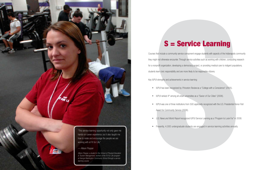"This service learning opportunity not only gave me hands-on career experience, but it also taught me how to relate and encourage the people we are working with at Fit for Life."

— Allison Plopper

*Allison Plopper, a student in the School of Physical Education & Tourism Management, worked at the Fit For Life program at George Washington Community School through a service learning course.* 

## S = Service Learning

• IUPUI was one of three institutions from 500 applicants recognized with the U.S. Presidential Honor Roll

SE SETVICE LEATTING<br>
Set for includes a community scalar concorered empty a about some control to the inclusion of the individual and a line of the individual conduction of the individual conduction of the individual compu Courses that include a community service component engage students with aspects of the Indianapolis community they might not otherwise encounter. Through service activities such as working with children, conducting research for a nonprofit organization, developing a democracy project, or providing medical care to indigent populations, students learn civic responsibility and are more likely to be responsible citizens. Key IUPUI strengths and achievements in service learning:

- • IUPUI has been recognized by *Princeton Review* as a "College with a Conscience" (2005).
- IUPUI ranked 4<sup>th</sup> among all urban universities as a "Savior of Our Cities" (2006).
- Award for Community Service (2006).
- 
- 

• *U.S. News and World Report* recognized IUPUI Service Learning as a "Program to Look For" in 2008.

• Presently, 4,000 undergraduate students are engaged in service learning activities annually.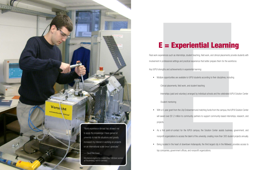

#### E = Experiential Learning

E = Experiment simulations, studied that the university, relations, and the studies of the Maximum of the studies of the studies of the studies of the studies of the studies of the studies of the studies of the studies of Real work experiences such as internships, student teaching, field work, and clinical placements provide students with involvement in professional settings and practical experience that better prepare them for the workforce. Key IUPUI strengths and achievements in experiential learning: • Multiple opportunities are available to IUPUI students according to their disciplines, including

-Clinical placements, field work, and student teaching

-Internships (paid and voluntary) arranged by individual schools and the celebrated IUPUI Solution Center

-Student mentoring

- projects.
- 
- top companies, government offices, and nonprofit organizations.

• With a 5-year grant from the Lilly Endowment and matching funds from the campus, the IUPUI Solution Center will award over \$1.2 million to community partners to support community-based internships, research, and

• As a first point-of-contact for the IUPUI campus, the Solution Center assists business, government, and nonprofit organizations to access the talent of the university, creating more than 300 student projects annually. • Being located in the heart of downtown Indianapolis, the third largest city in the Midwest, provides access to